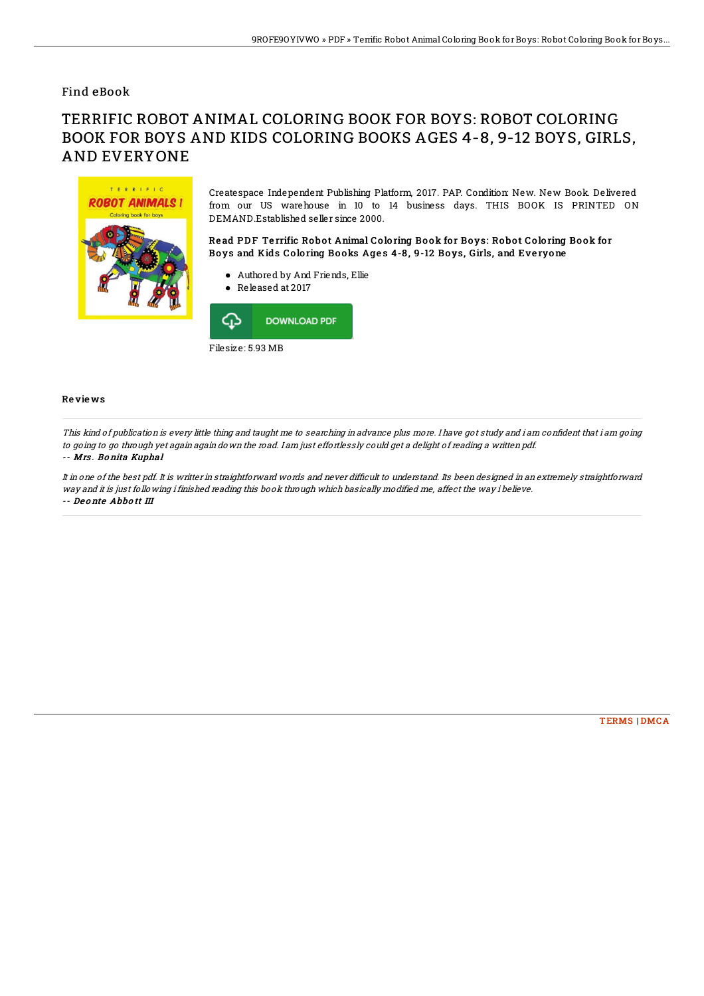## Find eBook

# TERRIFIC ROBOT ANIMAL COLORING BOOK FOR BOYS: ROBOT COLORING BOOK FOR BOYS AND KIDS COLORING BOOKS AGES 4-8, 9-12 BOYS, GIRLS, AND EVERYONE



Createspace Independent Publishing Platform, 2017. PAP. Condition: New. New Book. Delivered from our US warehouse in 10 to 14 business days. THIS BOOK IS PRINTED ON DEMAND.Established seller since 2000.

Read PDF Terrific Robot Animal Coloring Book for Boys: Robot Coloring Book for Boys and Kids Coloring Books Ages 4-8, 9-12 Boys, Girls, and Everyone

- Authored by And Friends, Ellie
- Released at 2017



### Re vie ws

This kind of publication is every little thing and taught me to searching in advance plus more. I have got study and i am confident that i am going to going to go through yet again again down the road. I am just effortlessly could get <sup>a</sup> delight of reading <sup>a</sup> written pdf.

#### -- Mrs . Bo nita Kuphal

It in one of the best pdf. It is writter in straightforward words and never difficult to understand. Its been designed in an extremely straightforward way and it is just following i finished reading this book through which basically modified me, affect the way i believe. -- De o nte Abbo tt III